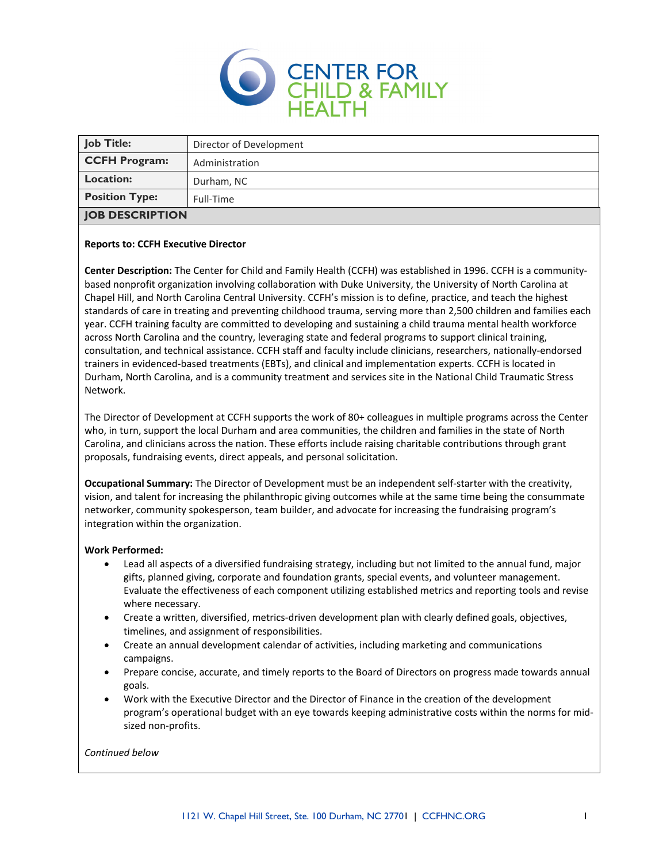

| <b>Job Title:</b>      | Director of Development |
|------------------------|-------------------------|
| <b>CCFH Program:</b>   | Administration          |
| <b>Location:</b>       | Durham, NC              |
| <b>Position Type:</b>  | Full-Time               |
| <b>JOB DESCRIPTION</b> |                         |

### **Reports to: CCFH Executive Director**

**Center Description:** The Center for Child and Family Health (CCFH) was established in 1996. CCFH is a community‐ based nonprofit organization involving collaboration with Duke University, the University of North Carolina at Chapel Hill, and North Carolina Central University. CCFH's mission is to define, practice, and teach the highest standards of care in treating and preventing childhood trauma, serving more than 2,500 children and families each year. CCFH training faculty are committed to developing and sustaining a child trauma mental health workforce across North Carolina and the country, leveraging state and federal programs to support clinical training, consultation, and technical assistance. CCFH staff and faculty include clinicians, researchers, nationally‐endorsed trainers in evidenced‐based treatments (EBTs), and clinical and implementation experts. CCFH is located in Durham, North Carolina, and is a community treatment and services site in the National Child Traumatic Stress Network.

The Director of Development at CCFH supports the work of 80+ colleagues in multiple programs across the Center who, in turn, support the local Durham and area communities, the children and families in the state of North Carolina, and clinicians across the nation. These efforts include raising charitable contributions through grant proposals, fundraising events, direct appeals, and personal solicitation.

**Occupational Summary:** The Director of Development must be an independent self‐starter with the creativity, vision, and talent for increasing the philanthropic giving outcomes while at the same time being the consummate networker, community spokesperson, team builder, and advocate for increasing the fundraising program's integration within the organization.

### **Work Performed:**

- Lead all aspects of a diversified fundraising strategy, including but not limited to the annual fund, major gifts, planned giving, corporate and foundation grants, special events, and volunteer management. Evaluate the effectiveness of each component utilizing established metrics and reporting tools and revise where necessary.
- Create a written, diversified, metrics‐driven development plan with clearly defined goals, objectives, timelines, and assignment of responsibilities.
- Create an annual development calendar of activities, including marketing and communications campaigns.
- Prepare concise, accurate, and timely reports to the Board of Directors on progress made towards annual goals.
- Work with the Executive Director and the Director of Finance in the creation of the development program's operational budget with an eye towards keeping administrative costs within the norms for mid‐ sized non‐profits.

### *Continued below*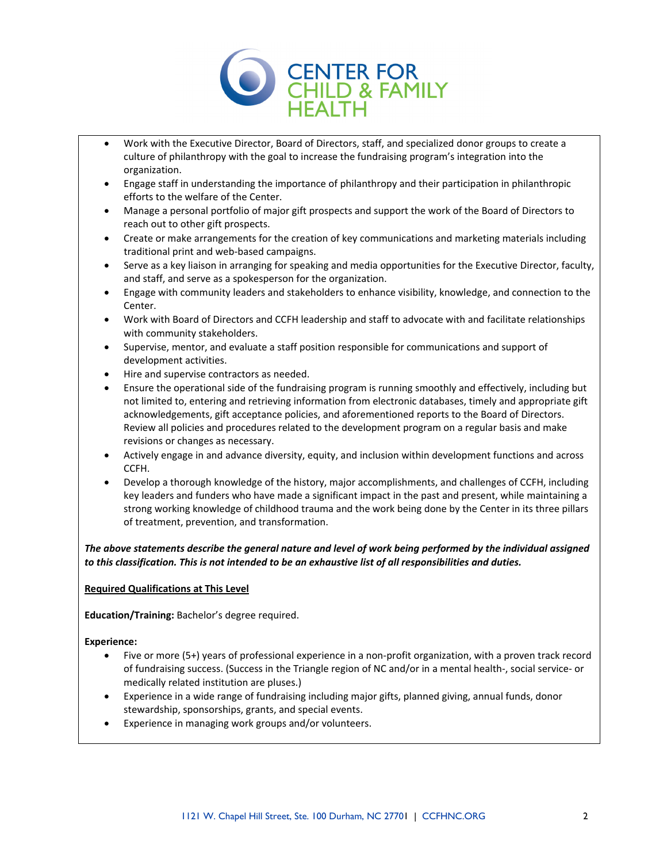

- Work with the Executive Director, Board of Directors, staff, and specialized donor groups to create a culture of philanthropy with the goal to increase the fundraising program's integration into the organization.
- Engage staff in understanding the importance of philanthropy and their participation in philanthropic efforts to the welfare of the Center.
- Manage a personal portfolio of major gift prospects and support the work of the Board of Directors to reach out to other gift prospects.
- Create or make arrangements for the creation of key communications and marketing materials including traditional print and web‐based campaigns.
- Serve as a key liaison in arranging for speaking and media opportunities for the Executive Director, faculty, and staff, and serve as a spokesperson for the organization.
- Engage with community leaders and stakeholders to enhance visibility, knowledge, and connection to the Center.
- Work with Board of Directors and CCFH leadership and staff to advocate with and facilitate relationships with community stakeholders.
- Supervise, mentor, and evaluate a staff position responsible for communications and support of development activities.
- Hire and supervise contractors as needed.
- Ensure the operational side of the fundraising program is running smoothly and effectively, including but not limited to, entering and retrieving information from electronic databases, timely and appropriate gift acknowledgements, gift acceptance policies, and aforementioned reports to the Board of Directors. Review all policies and procedures related to the development program on a regular basis and make revisions or changes as necessary.
- Actively engage in and advance diversity, equity, and inclusion within development functions and across CCFH.
- Develop a thorough knowledge of the history, major accomplishments, and challenges of CCFH, including key leaders and funders who have made a significant impact in the past and present, while maintaining a strong working knowledge of childhood trauma and the work being done by the Center in its three pillars of treatment, prevention, and transformation.

The above statements describe the general nature and level of work being performed by the individual assigned *to this classification. This is not intended to be an exhaustive list of all responsibilities and duties.*

# **Required Qualifications at This Level**

**Education/Training:** Bachelor's degree required.

# **Experience:**

- Five or more (5+) years of professional experience in a non‐profit organization, with a proven track record of fundraising success. (Success in the Triangle region of NC and/or in a mental health‐, social service‐ or medically related institution are pluses.)
- Experience in a wide range of fundraising including major gifts, planned giving, annual funds, donor stewardship, sponsorships, grants, and special events.
- Experience in managing work groups and/or volunteers.